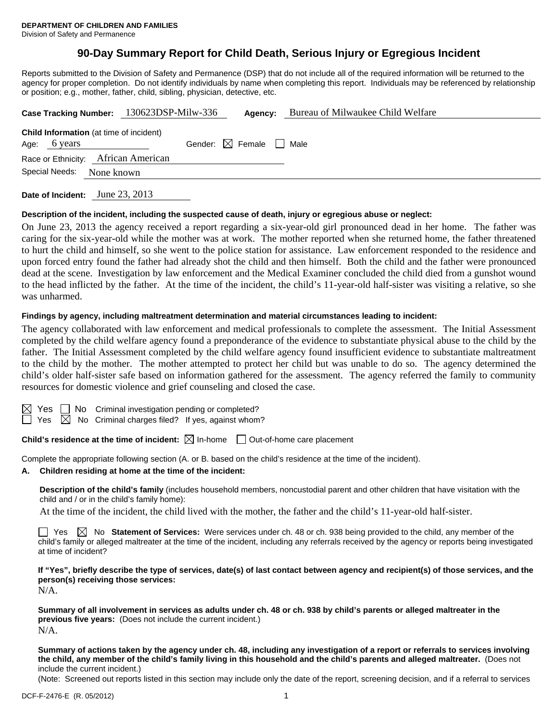# **90-Day Summary Report for Child Death, Serious Injury or Egregious Incident**

Reports submitted to the Division of Safety and Permanence (DSP) that do not include all of the required information will be returned to the agency for proper completion. Do not identify individuals by name when completing this report. Individuals may be referenced by relationship or position; e.g., mother, father, child, sibling, physician, detective, etc.

| Case Tracking Number: 130623DSP-Milw-336                       |            |                                        | Agency: | Bureau of Milwaukee Child Welfare |
|----------------------------------------------------------------|------------|----------------------------------------|---------|-----------------------------------|
| <b>Child Information</b> (at time of incident)<br>Age: 6 years |            | Gender: $\boxtimes$ Female $\Box$ Male |         |                                   |
| Race or Ethnicity: African American<br>Special Needs:          | None known |                                        |         |                                   |
|                                                                |            |                                        |         |                                   |

**Date of Incident:** June 23, 2013

### **Description of the incident, including the suspected cause of death, injury or egregious abuse or neglect:**

On June 23, 2013 the agency received a report regarding a six-year-old girl pronounced dead in her home. The father was caring for the six-year-old while the mother was at work. The mother reported when she returned home, the father threatened to hurt the child and himself, so she went to the police station for assistance. Law enforcement responded to the residence and upon forced entry found the father had already shot the child and then himself. Both the child and the father were pronounced dead at the scene. Investigation by law enforcement and the Medical Examiner concluded the child died from a gunshot wound to the head inflicted by the father. At the time of the incident, the child's 11-year-old half-sister was visiting a relative, so she was unharmed.

### **Findings by agency, including maltreatment determination and material circumstances leading to incident:**

The agency collaborated with law enforcement and medical professionals to complete the assessment. The Initial Assessment completed by the child welfare agency found a preponderance of the evidence to substantiate physical abuse to the child by the father. The Initial Assessment completed by the child welfare agency found insufficient evidence to substantiate maltreatment to the child by the mother. The mother attempted to protect her child but was unable to do so. The agency determined the child's older half-sister safe based on information gathered for the assessment. The agency referred the family to community resources for domestic violence and grief counseling and closed the case.

 $S \Box$  No Criminal investigation pending or completed?

 $\Box$  Yes  $\boxtimes$  No Criminal charges filed? If yes, against whom?

**Child's residence at the time of incident:**  $\boxtimes$  In-home  $\Box$  Out-of-home care placement

Complete the appropriate following section (A. or B. based on the child's residence at the time of the incident).

### **A. Children residing at home at the time of the incident:**

**Description of the child's family** (includes household members, noncustodial parent and other children that have visitation with the child and / or in the child's family home):

At the time of the incident, the child lived with the mother, the father and the child's 11-year-old half-sister.

 $\Box$  Yes  $\boxtimes$  No **Statement of Services:** Were services under ch. 48 or ch. 938 being provided to the child, any member of the child's family or alleged maltreater at the time of the incident, including any referrals received by the agency or reports being investigated at time of incident?

**If "Yes", briefly describe the type of services, date(s) of last contact between agency and recipient(s) of those services, and the person(s) receiving those services:**  N/A.

**Summary of all involvement in services as adults under ch. 48 or ch. 938 by child's parents or alleged maltreater in the previous five years:** (Does not include the current incident.) N/A.

**Summary of actions taken by the agency under ch. 48, including any investigation of a report or referrals to services involving the child, any member of the child's family living in this household and the child's parents and alleged maltreater.** (Does not include the current incident.)

(Note: Screened out reports listed in this section may include only the date of the report, screening decision, and if a referral to services